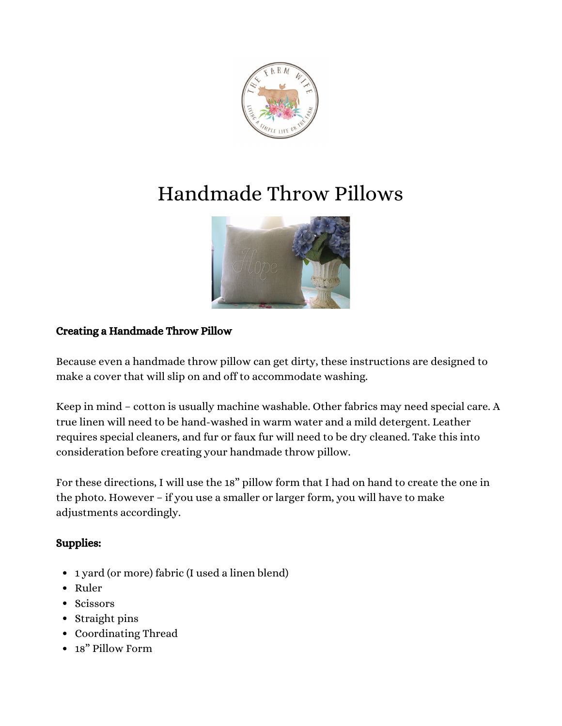

# Handmade Throw Pillows



# Creating a Handmade Throw Pillow

Because even a handmade throw pillow can get dirty, these instructions are designed to make a cover that will slip on and off to accommodate washing.

Keep in mind – cotton is usually machine washable. Other fabrics may need special care. A true linen will need to be hand-washed in warm water and a mild detergent. Leather requires special cleaners, and fur or faux fur will need to be dry cleaned. Take this into consideration before creating your handmade throw pillow.

For these directions, I will use the 18" pillow form that I had on hand to create the one in the photo. However – if you use a smaller or larger form, you will have to make adjustments accordingly.

#### Supplies:

- 1 yard (or more) fabric (I used a linen blend)
- Ruler
- Scissors
- Straight pins
- Coordinating Thread
- 18" Pillow Form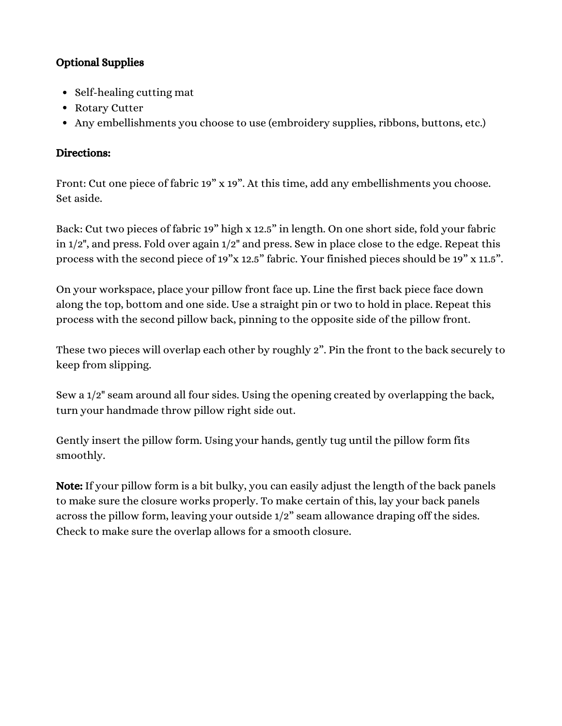## Optional Supplies

- Self-healing cutting mat
- Rotary Cutter
- Any embellishments you choose to use (embroidery supplies, ribbons, buttons, etc.)

### Directions:

Front: Cut one piece of fabric 19" x 19". At this time, add any embellishments you choose. Set aside.

Back: Cut two pieces of fabric 19" high x 12.5" in length. On one short side, fold your fabric in 1/2", and press. Fold over again 1/2" and press. Sew in place close to the edge. Repeat this process with the second piece of 19"x 12.5" fabric. Your finished pieces should be 19" x 11.5".

On your workspace, place your pillow front face up. Line the first back piece face down along the top, bottom and one side. Use a straight pin or two to hold in place. Repeat this process with the second pillow back, pinning to the opposite side of the pillow front.

These two pieces will overlap each other by roughly 2". Pin the front to the back securely to keep from slipping.

Sew a 1/2" seam around all four sides. Using the opening created by overlapping the back, turn your handmade throw pillow right side out.

Gently insert the pillow form. Using your hands, gently tug until the pillow form fits smoothly.

Note: If your pillow form is a bit bulky, you can easily adjust the length of the back panels to make sure the closure works properly. To make certain of this, lay your back panels across the pillow form, leaving your outside 1/2" seam allowance draping off the sides. Check to make sure the overlap allows for a smooth closure.